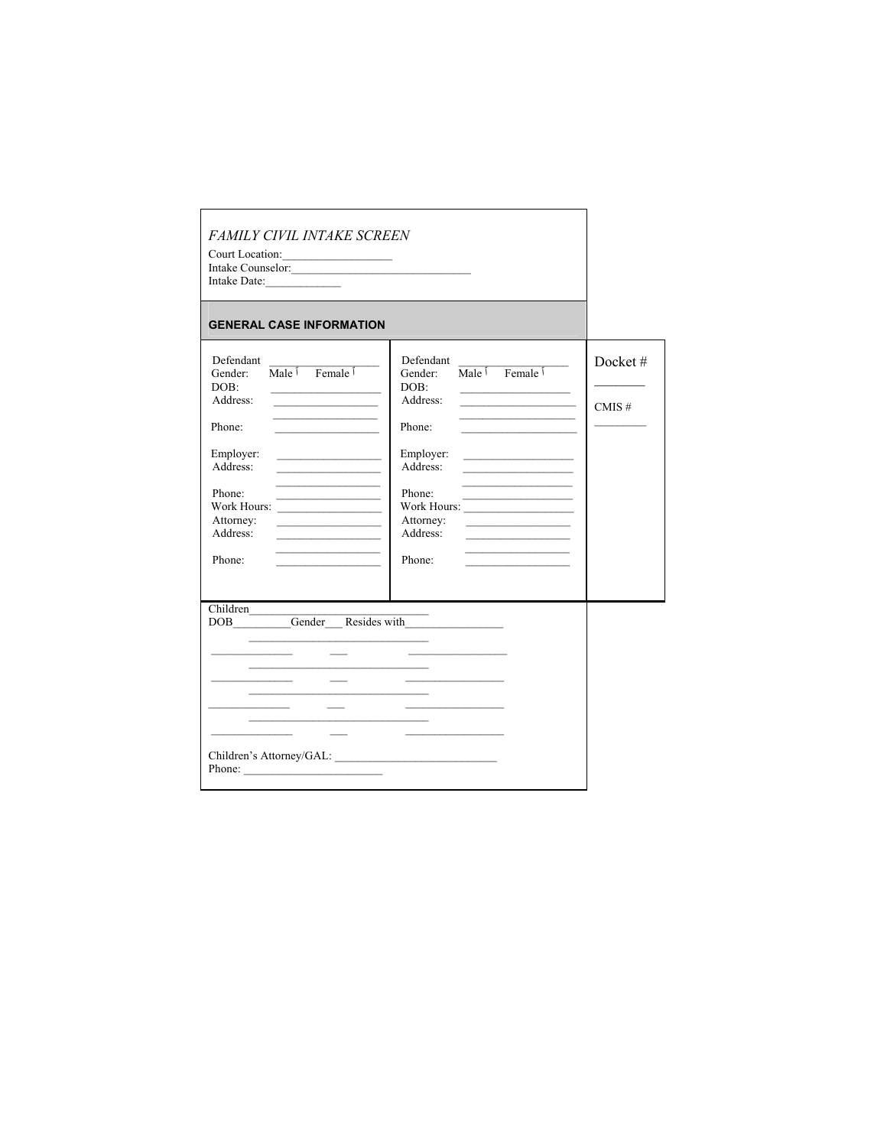| FAMILY CIVIL INTAKE SCREEN<br>Court Location:<br>Intake Date:<br><b>GENERAL CASE INFORMATION</b>                                                                                                                                                                                                                                                                                                                                                                                                                                                                                                                                                                                     |                                                                                                                                                                                                                                                                                                                                                                                                                                                                                                                                                                                           |                  |
|--------------------------------------------------------------------------------------------------------------------------------------------------------------------------------------------------------------------------------------------------------------------------------------------------------------------------------------------------------------------------------------------------------------------------------------------------------------------------------------------------------------------------------------------------------------------------------------------------------------------------------------------------------------------------------------|-------------------------------------------------------------------------------------------------------------------------------------------------------------------------------------------------------------------------------------------------------------------------------------------------------------------------------------------------------------------------------------------------------------------------------------------------------------------------------------------------------------------------------------------------------------------------------------------|------------------|
| Defendant<br>Male $\hat{I}$ Female $\hat{I}$<br>Gender:<br>DOB:<br>the control of the control of the control of<br>Address:<br><u> 1989 - Johann John Harry John Harry John Harry John Harry John Harry John Harry John Harry John Harry John Harry John Harry John Harry John Harry John Harry John Harry John Harry John Harry John Harry John Harry John Har</u><br>the contract of the contract of the contract of<br>Phone:<br>Employer:<br><u> 1989 - Johann John Harry Barnett, mars ar brening ar yn y 1990 - Amerikaansk ferskearre oant it ferskearre oan</u><br>Address:<br>Phone:<br>Work Hours:<br>Attorney:<br>Address:<br>the control of the control of the<br>Phone: | Defendant<br>Male $\hat{I}$ Female $\hat{I}$<br>Gender:<br>DOB:<br>the control of the control of the control of<br>Address:<br><u> 1980 - Johann John Stone, mars et al.</u><br>Phone:<br>the control of the control of the control of<br>Employer:<br><u> 1989 - Johann John Harry Harry Harry Harry Harry Harry Harry Harry Harry Harry Harry Harry Harry Harry Harry Harry Harry Harry Harry Harry Harry Harry Harry Harry Harry Harry Harry Harry Harry Harry Harry Harry Harry Har</u><br>Address:<br>Phone:<br>the control of the control of the<br>Attorney:<br>Address:<br>Phone: | Docket#<br>CMIS# |
| Children<br>the control of the control of the control of the control of the control of<br>Children's Attorney/GAL:<br>Phone: $\frac{1}{\sqrt{1-\frac{1}{2}}\sqrt{1-\frac{1}{2}}\sqrt{1-\frac{1}{2}}\sqrt{1-\frac{1}{2}}\sqrt{1-\frac{1}{2}}\sqrt{1-\frac{1}{2}}\sqrt{1-\frac{1}{2}}\sqrt{1-\frac{1}{2}}\sqrt{1-\frac{1}{2}}\sqrt{1-\frac{1}{2}}\sqrt{1-\frac{1}{2}}\sqrt{1-\frac{1}{2}}\sqrt{1-\frac{1}{2}}\sqrt{1-\frac{1}{2}}\sqrt{1-\frac{1}{2}}\sqrt{1-\frac{1}{2}}\sqrt{1-\frac{1}{2}}\sqrt{1-\frac{1}{2}}\sqrt{1-\frac{1}{2$                                                                                                                                                   |                                                                                                                                                                                                                                                                                                                                                                                                                                                                                                                                                                                           |                  |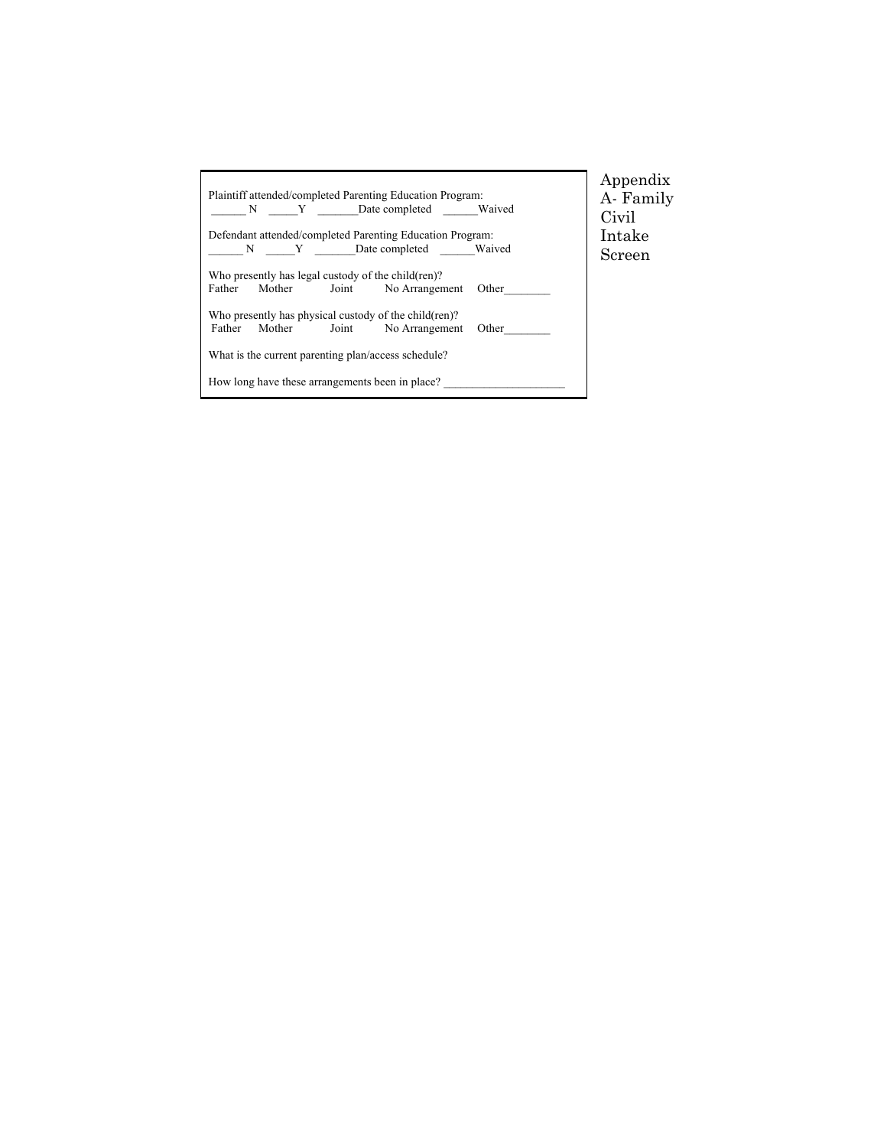| Plaintiff attended/completed Parenting Education Program:<br>N Y Date completed Waived                   | Appendix<br>A- Family<br>Civil |  |  |  |  |  |  |  |
|----------------------------------------------------------------------------------------------------------|--------------------------------|--|--|--|--|--|--|--|
| Defendant attended/completed Parenting Education Program:                                                | Intake                         |  |  |  |  |  |  |  |
| N Y Date completed Waived                                                                                | Screen                         |  |  |  |  |  |  |  |
| Who presently has legal custody of the child (ren)?                                                      |                                |  |  |  |  |  |  |  |
| Father Mother<br>Joint No Arrangement<br>Other                                                           |                                |  |  |  |  |  |  |  |
| Who presently has physical custody of the child (ren)?<br>Mother Joint No Arrangement<br>Father<br>Other |                                |  |  |  |  |  |  |  |
| What is the current parenting plan/access schedule?                                                      |                                |  |  |  |  |  |  |  |
| How long have these arrangements been in place?                                                          |                                |  |  |  |  |  |  |  |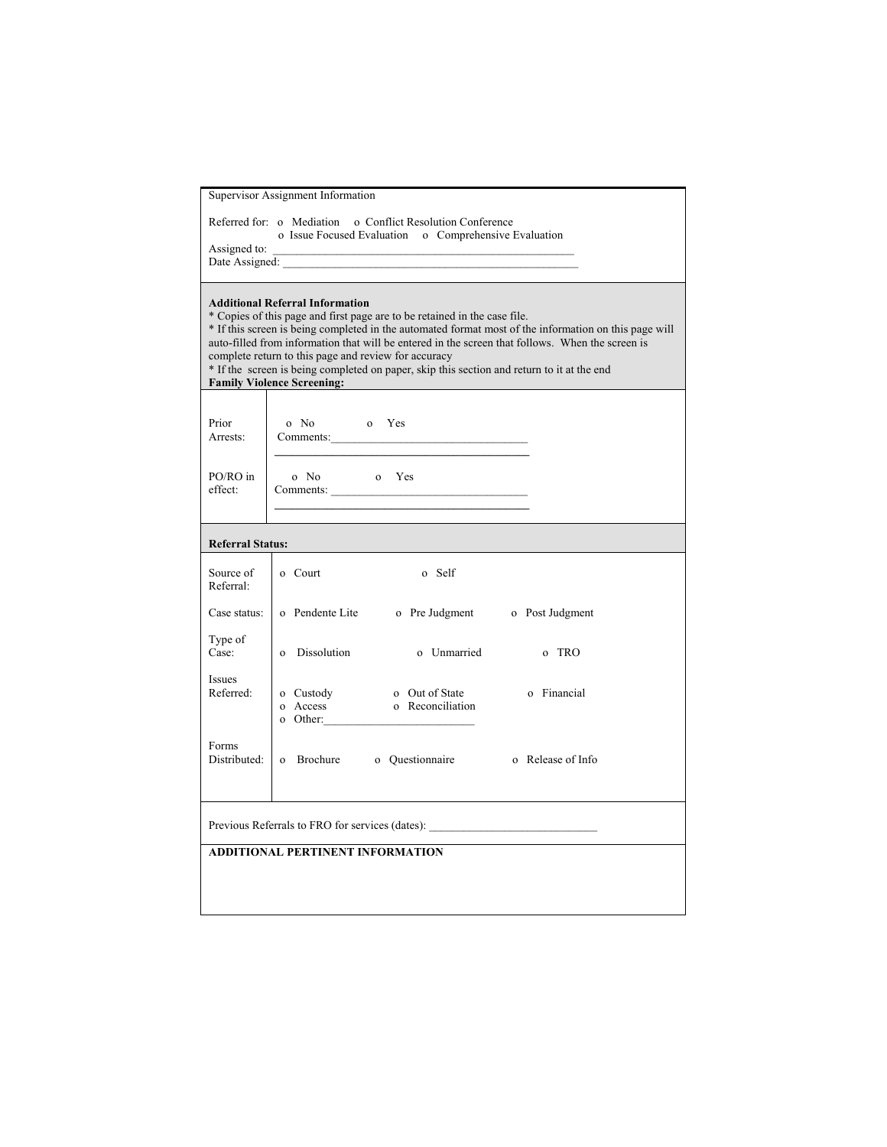|                         | Supervisor Assignment Information                                                                                                                                                                                                                                                                                                                                                                                                                                                                                           |             |
|-------------------------|-----------------------------------------------------------------------------------------------------------------------------------------------------------------------------------------------------------------------------------------------------------------------------------------------------------------------------------------------------------------------------------------------------------------------------------------------------------------------------------------------------------------------------|-------------|
|                         | Referred for: o Mediation o Conflict Resolution Conference<br>o Issue Focused Evaluation o Comprehensive Evaluation<br>Assigned to:<br>Date Assigned:                                                                                                                                                                                                                                                                                                                                                                       |             |
|                         | <b>Additional Referral Information</b><br>* Copies of this page and first page are to be retained in the case file.<br>* If this screen is being completed in the automated format most of the information on this page will<br>auto-filled from information that will be entered in the screen that follows. When the screen is<br>complete return to this page and review for accuracy<br>* If the screen is being completed on paper, skip this section and return to it at the end<br><b>Family Violence Screening:</b> |             |
| Prior<br>Arrests:       | o No o Yes<br>Comments:                                                                                                                                                                                                                                                                                                                                                                                                                                                                                                     |             |
| PO/RO in<br>effect:     | o Yes<br>o No<br>Comments:                                                                                                                                                                                                                                                                                                                                                                                                                                                                                                  |             |
| <b>Referral Status:</b> |                                                                                                                                                                                                                                                                                                                                                                                                                                                                                                                             |             |
| Source of<br>Referral:  | o Court<br>o Self                                                                                                                                                                                                                                                                                                                                                                                                                                                                                                           |             |
| Case status:            | o Pendente Lite o Pre Judgment o Post Judgment                                                                                                                                                                                                                                                                                                                                                                                                                                                                              |             |
| Type of<br>Case:        | o Dissolution o Unmarried                                                                                                                                                                                                                                                                                                                                                                                                                                                                                                   | o TRO       |
| Issues<br>Referred:     | o Custody o Out of State<br>o Reconciliation<br>o Access                                                                                                                                                                                                                                                                                                                                                                                                                                                                    | o Financial |
| Forms                   | Distributed: 0 Brochure o Questionnaire o Release of Info                                                                                                                                                                                                                                                                                                                                                                                                                                                                   |             |
|                         | Previous Referrals to FRO for services (dates): ________________________________                                                                                                                                                                                                                                                                                                                                                                                                                                            |             |
|                         | <b>ADDITIONAL PERTINENT INFORMATION</b>                                                                                                                                                                                                                                                                                                                                                                                                                                                                                     |             |
|                         |                                                                                                                                                                                                                                                                                                                                                                                                                                                                                                                             |             |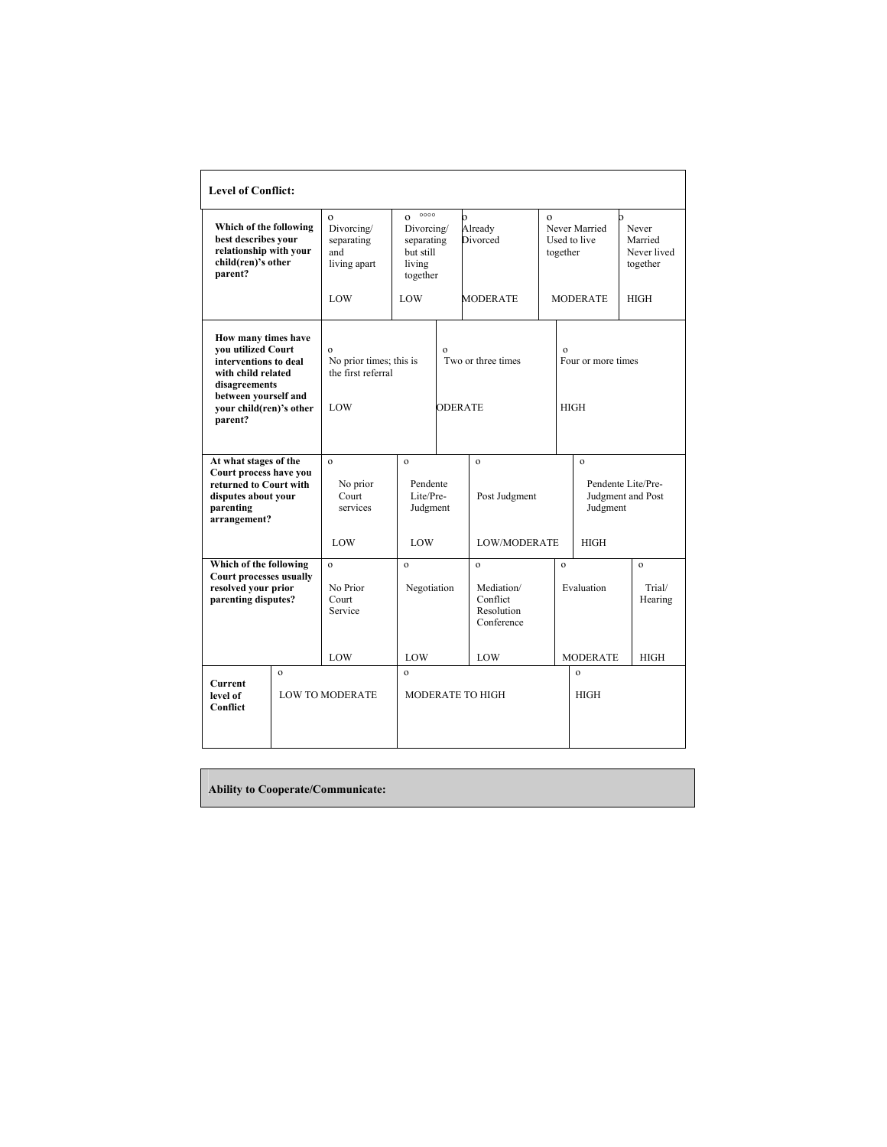| <b>Level of Conflict:</b>                                                                                                     |              |                                                                 |                                                                                     |  |                                                                    |  |                                           |                                             |  |
|-------------------------------------------------------------------------------------------------------------------------------|--------------|-----------------------------------------------------------------|-------------------------------------------------------------------------------------|--|--------------------------------------------------------------------|--|-------------------------------------------|---------------------------------------------|--|
| Which of the following<br>best describes your<br>relationship with your<br>child(ren)'s other<br>parent?                      |              | $\mathbf{o}$<br>Divorcing/<br>separating<br>and<br>living apart | 0000<br>$\mathbf{o}$<br>Divorcing/<br>separating<br>but still<br>living<br>together |  | $\Omega$<br>Already<br>Divorced                                    |  | Never Married<br>Used to live<br>together | Never<br>Married<br>Never lived<br>together |  |
|                                                                                                                               |              | LOW                                                             | LOW                                                                                 |  | <b>MODERATE</b>                                                    |  | <b>MODERATE</b>                           | <b>HIGH</b>                                 |  |
| How many times have<br>you utilized Court<br>interventions to deal<br>with child related<br>disagreements                     |              | $\Omega$<br>No prior times; this is<br>the first referral       | $\Omega$<br>Two or three times                                                      |  |                                                                    |  | $\Omega$<br>Four or more times            |                                             |  |
| between yourself and<br>your child(ren)'s other<br>parent?                                                                    |              | LOW                                                             |                                                                                     |  | <b>ODERATE</b>                                                     |  | <b>HIGH</b>                               |                                             |  |
| At what stages of the<br>Court process have you<br>returned to Court with<br>disputes about your<br>parenting<br>arrangement? |              | $\mathbf{o}$<br>No prior<br>Court<br>services                   | $\mathbf{o}$<br>Pendente<br>Lite/Pre-<br>Judgment                                   |  | $\mathbf{o}$<br>Post Judgment                                      |  | $\mathbf{o}$<br>Judgment                  | Pendente Lite/Pre-<br>Judgment and Post     |  |
|                                                                                                                               |              | LOW                                                             | LOW                                                                                 |  | <b>LOW/MODERATE</b>                                                |  | <b>HIGH</b>                               |                                             |  |
| Which of the following<br>Court processes usually<br>resolved your prior<br>parenting disputes?                               |              | $\mathbf{o}$<br>No Prior<br>Court<br>Service                    | $\mathbf{o}$<br>Negotiation                                                         |  | $\mathbf{o}$<br>Mediation/<br>Conflict<br>Resolution<br>Conference |  | $\mathbf{o}$<br>Evaluation                | $\mathbf{o}$<br>Trial/<br>Hearing           |  |
|                                                                                                                               |              | LOW                                                             | LOW                                                                                 |  | LOW                                                                |  | <b>MODERATE</b>                           | <b>HIGH</b>                                 |  |
| <b>Current</b><br>level of<br>Conflict                                                                                        | $\mathbf{o}$ | <b>LOW TO MODERATE</b>                                          | $\mathbf{o}$                                                                        |  | <b>MODERATE TO HIGH</b>                                            |  | $\Omega$<br><b>HIGH</b>                   |                                             |  |

**Ability to Cooperate/Communicate:**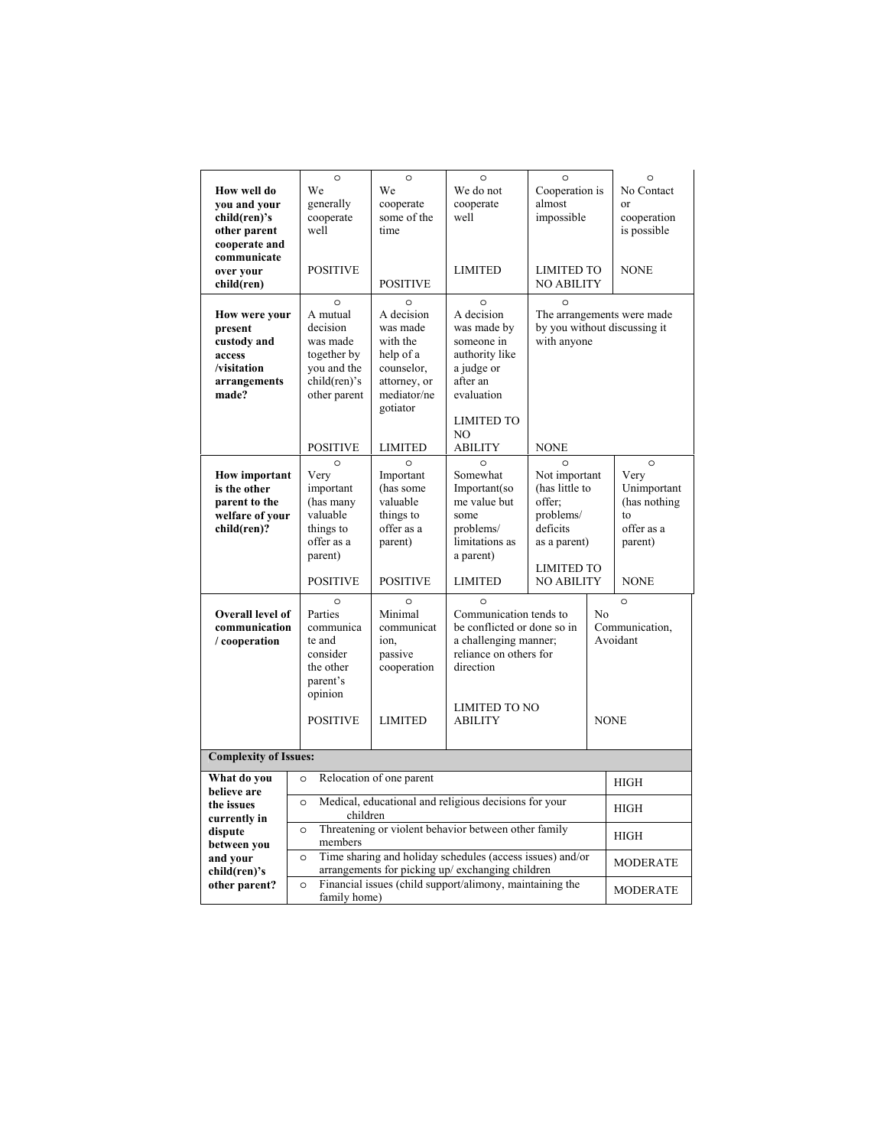| How well do<br>you and your<br>child(ren)'s<br>other parent<br>cooperate and<br>communicate<br>over your                                      | $\circ$<br>We<br>generally<br>cooperate<br>well<br><b>POSITIVE</b>                                                                                                                                            | $\circ$<br>We<br>cooperate<br>some of the<br>time                                                                                                                             | $\circ$<br>We do not<br>cooperate<br>well<br>LIMITED                                                                                                                                                                                                                      | $\circ$<br>almost                           | Cooperation is<br>No Contact<br>or<br>impossible<br>cooperation<br>is possible<br><b>LIMITED TO</b><br><b>NONE</b><br><b>NO ABILITY</b>                                                                                                  |                 |
|-----------------------------------------------------------------------------------------------------------------------------------------------|---------------------------------------------------------------------------------------------------------------------------------------------------------------------------------------------------------------|-------------------------------------------------------------------------------------------------------------------------------------------------------------------------------|---------------------------------------------------------------------------------------------------------------------------------------------------------------------------------------------------------------------------------------------------------------------------|---------------------------------------------|------------------------------------------------------------------------------------------------------------------------------------------------------------------------------------------------------------------------------------------|-----------------|
| child(ren)                                                                                                                                    |                                                                                                                                                                                                               | <b>POSITIVE</b>                                                                                                                                                               |                                                                                                                                                                                                                                                                           |                                             |                                                                                                                                                                                                                                          |                 |
| <b>How were your</b><br>present<br>custody and<br>access<br>/visitation<br>arrangements<br>made?                                              | $\Omega$<br>A mutual<br>decision<br>was made<br>together by<br>you and the<br>child(ren)'s<br>other parent<br><b>POSITIVE</b>                                                                                 | $\Omega$<br>A decision<br>was made<br>with the<br>help of a<br>counselor,<br>attorney, or<br>mediator/ne<br>gotiator<br><b>LIMITED</b>                                        | $\circ$<br>A decision<br>was made by<br>someone in<br>authority like<br>a judge or<br>after an<br>evaluation<br><b>LIMITED TO</b><br>NO<br><b>ABILITY</b>                                                                                                                 | $\circ$                                     | The arrangements were made<br>by you without discussing it<br>with anyone<br><b>NONE</b>                                                                                                                                                 |                 |
|                                                                                                                                               |                                                                                                                                                                                                               |                                                                                                                                                                               |                                                                                                                                                                                                                                                                           |                                             |                                                                                                                                                                                                                                          | $\circ$         |
| <b>How important</b><br>is the other<br>parent to the<br>welfare of your<br>child(ren)?<br>Overall level of<br>communication<br>/ cooperation | $\Omega$<br>Very<br>important<br>(has many<br>valuable<br>things to<br>offer as a<br>parent)<br><b>POSITIVE</b><br>$\Omega$<br>Parties<br>communica<br>te and<br>consider<br>the other<br>parent's<br>opinion | $\Omega$<br>Important<br>(has some<br>valuable<br>things to<br>offer as a<br>parent)<br><b>POSITIVE</b><br>$\circ$<br>Minimal<br>communicat<br>ion,<br>passive<br>cooperation | $\Omega$<br>Somewhat<br>Important(so<br>me value but<br>some<br>problems/<br>limitations as<br>a parent)<br>LIMITED<br>$\Omega$<br>Communication tends to<br>be conflicted or done so in<br>a challenging manner;<br>reliance on others for<br>direction<br>LIMITED TO NO | $\Omega$<br>offer:<br>problems/<br>deficits | Not important<br>Very<br>(has little to<br>Unimportant<br>(has nothing<br>$\mathsf{to}$<br>offer as a<br>as a parent)<br>parent)<br><b>LIMITED TO</b><br><b>NO ABILITY</b><br><b>NONE</b><br>$\circ$<br>No<br>Communication,<br>Avoidant |                 |
|                                                                                                                                               | <b>POSITIVE</b>                                                                                                                                                                                               | <b>LIMITED</b>                                                                                                                                                                | <b>ABILITY</b>                                                                                                                                                                                                                                                            |                                             | <b>NONE</b>                                                                                                                                                                                                                              |                 |
| <b>Complexity of Issues:</b>                                                                                                                  |                                                                                                                                                                                                               |                                                                                                                                                                               |                                                                                                                                                                                                                                                                           |                                             |                                                                                                                                                                                                                                          |                 |
| What do you                                                                                                                                   | $\circ$                                                                                                                                                                                                       | Relocation of one parent                                                                                                                                                      |                                                                                                                                                                                                                                                                           |                                             |                                                                                                                                                                                                                                          | <b>HIGH</b>     |
| believe are                                                                                                                                   |                                                                                                                                                                                                               |                                                                                                                                                                               |                                                                                                                                                                                                                                                                           |                                             |                                                                                                                                                                                                                                          |                 |
| the issues<br>currently in                                                                                                                    | $\circ$<br>children                                                                                                                                                                                           |                                                                                                                                                                               | Medical, educational and religious decisions for your                                                                                                                                                                                                                     |                                             |                                                                                                                                                                                                                                          | HIGH            |
| dispute<br>between you                                                                                                                        | $\circ$<br>members                                                                                                                                                                                            |                                                                                                                                                                               | Threatening or violent behavior between other family                                                                                                                                                                                                                      |                                             |                                                                                                                                                                                                                                          | <b>HIGH</b>     |
| and your<br>child(ren)'s                                                                                                                      | $\circ$                                                                                                                                                                                                       |                                                                                                                                                                               | Time sharing and holiday schedules (access issues) and/or<br>arrangements for picking up/ exchanging children                                                                                                                                                             |                                             |                                                                                                                                                                                                                                          | <b>MODERATE</b> |
| other parent?                                                                                                                                 | $\circ$<br>family home)                                                                                                                                                                                       |                                                                                                                                                                               | Financial issues (child support/alimony, maintaining the                                                                                                                                                                                                                  |                                             |                                                                                                                                                                                                                                          | <b>MODERATE</b> |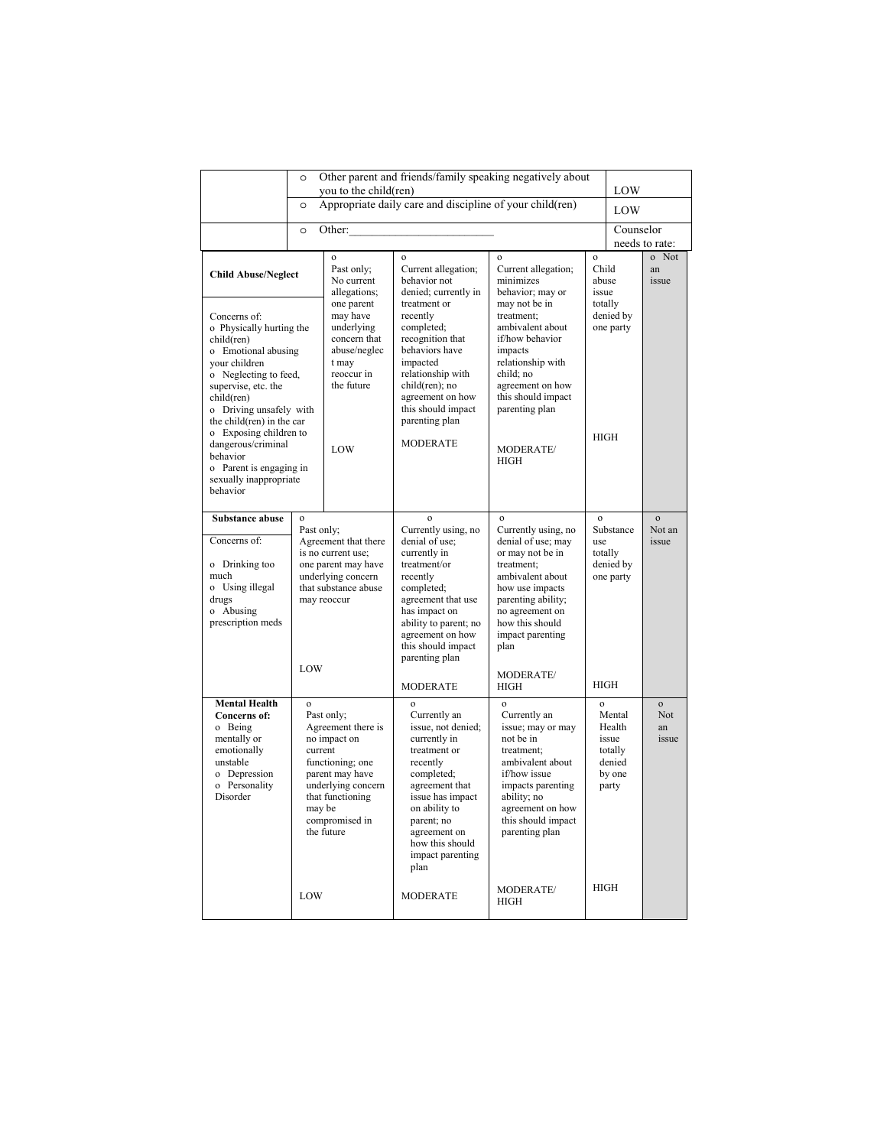|                                                                                                                                                                                                                                                | $\circ$                                                                                                                                      | you to the child(ren)                                                                                                                                                       |                                                                                                                                                                                                                                                  | Other parent and friends/family speaking negatively about                                                                                                                                                        |                                                    | LOW                                                               |                                           |
|------------------------------------------------------------------------------------------------------------------------------------------------------------------------------------------------------------------------------------------------|----------------------------------------------------------------------------------------------------------------------------------------------|-----------------------------------------------------------------------------------------------------------------------------------------------------------------------------|--------------------------------------------------------------------------------------------------------------------------------------------------------------------------------------------------------------------------------------------------|------------------------------------------------------------------------------------------------------------------------------------------------------------------------------------------------------------------|----------------------------------------------------|-------------------------------------------------------------------|-------------------------------------------|
|                                                                                                                                                                                                                                                | $\circ$                                                                                                                                      |                                                                                                                                                                             | Appropriate daily care and discipline of your child(ren)                                                                                                                                                                                         |                                                                                                                                                                                                                  |                                                    | LOW                                                               |                                           |
|                                                                                                                                                                                                                                                | $\circ$                                                                                                                                      | Other:                                                                                                                                                                      |                                                                                                                                                                                                                                                  |                                                                                                                                                                                                                  |                                                    | Counselor                                                         | needs to rate:                            |
| <b>Child Abuse/Neglect</b>                                                                                                                                                                                                                     |                                                                                                                                              | $\mathbf{o}$<br>Past only;<br>No current<br>allegations;<br>one parent                                                                                                      | $\mathbf{o}$<br>Current allegation;<br>behavior not<br>denied; currently in<br>treatment or                                                                                                                                                      | $\mathbf{o}$<br>Current allegation;<br>minimizes<br>behavior; may or<br>may not be in                                                                                                                            | $\mathbf{o}$<br>Child<br>abuse<br>issue<br>totally |                                                                   | o Not<br>an<br>issue                      |
| Concerns of:<br>o Physically hurting the<br>child(ren)<br>o Emotional abusing<br>your children<br>o Neglecting to feed,<br>supervise, etc. the<br>child(ren)<br>o Driving unsafely with<br>the child(ren) in the car<br>o Exposing children to |                                                                                                                                              | may have<br>underlying<br>concern that<br>abuse/neglec<br>t may<br>reoccur in<br>the future                                                                                 | recently<br>completed;<br>recognition that<br>behaviors have<br>impacted<br>relationship with<br>child(ren); no<br>agreement on how<br>this should impact<br>parenting plan                                                                      | treatment:<br>ambivalent about<br>if/how behavior<br>impacts<br>relationship with<br>child; no<br>agreement on how<br>this should impact<br>parenting plan                                                       |                                                    | denied by<br>one party                                            |                                           |
| dangerous/criminal<br>behavior<br>o Parent is engaging in<br>sexually inappropriate<br>behavior                                                                                                                                                |                                                                                                                                              | LOW                                                                                                                                                                         | <b>MODERATE</b>                                                                                                                                                                                                                                  | MODERATE/<br><b>HIGH</b>                                                                                                                                                                                         | <b>HIGH</b>                                        |                                                                   |                                           |
| <b>Substance abuse</b>                                                                                                                                                                                                                         | $\mathbf{o}$                                                                                                                                 |                                                                                                                                                                             | $\mathbf{o}$                                                                                                                                                                                                                                     | $\mathbf{o}$                                                                                                                                                                                                     | $\mathbf{o}$                                       |                                                                   | $\mathbf{o}$                              |
| Concerns of:<br>o Drinking too<br>much<br>o Using illegal<br>drugs<br>o Abusing<br>prescription meds                                                                                                                                           | Past only;<br>Agreement that there<br>is no current use;<br>one parent may have<br>underlying concern<br>that substance abuse<br>may reoccur |                                                                                                                                                                             | Currently using, no<br>denial of use;<br>currently in<br>treatment/or<br>recently<br>completed;<br>agreement that use<br>has impact on<br>ability to parent; no<br>agreement on how<br>this should impact<br>parenting plan                      | Currently using, no<br>denial of use; may<br>or may not be in<br>treatment;<br>ambivalent about<br>how use impacts<br>parenting ability;<br>no agreement on<br>how this should<br>impact parenting<br>plan       | use                                                | Substance<br>totally<br>denied by<br>one party                    | Not an<br>issue                           |
|                                                                                                                                                                                                                                                | LOW                                                                                                                                          |                                                                                                                                                                             | <b>MODERATE</b>                                                                                                                                                                                                                                  | MODERATE/<br><b>HIGH</b>                                                                                                                                                                                         | <b>HIGH</b>                                        |                                                                   |                                           |
| <b>Mental Health</b><br>Concerns of:<br>o Being<br>mentally or<br>emotionally<br>unstable<br>o Depression<br>o Personality<br>Disorder                                                                                                         | $\mathbf{o}$<br>current                                                                                                                      | Past only;<br>Agreement there is<br>no impact on<br>functioning; one<br>parent may have<br>underlying concern<br>that functioning<br>may be<br>compromised in<br>the future | $\mathbf{o}$<br>Currently an<br>issue, not denied;<br>currently in<br>treatment or<br>recently<br>completed;<br>agreement that<br>issue has impact<br>on ability to<br>parent; no<br>agreement on<br>how this should<br>impact parenting<br>plan | $\mathbf{o}$<br>Currently an<br>issue; may or may<br>not be in<br>treatment;<br>ambivalent about<br>if/how issue<br>impacts parenting<br>ability; no<br>agreement on how<br>this should impact<br>parenting plan | $\mathbf{o}$                                       | Mental<br>Health<br>issue<br>totally<br>denied<br>by one<br>party | $\mathbf{o}$<br><b>Not</b><br>an<br>issue |
|                                                                                                                                                                                                                                                | LOW                                                                                                                                          |                                                                                                                                                                             | <b>MODERATE</b>                                                                                                                                                                                                                                  | MODERATE/<br>HIGH                                                                                                                                                                                                | <b>HIGH</b>                                        |                                                                   |                                           |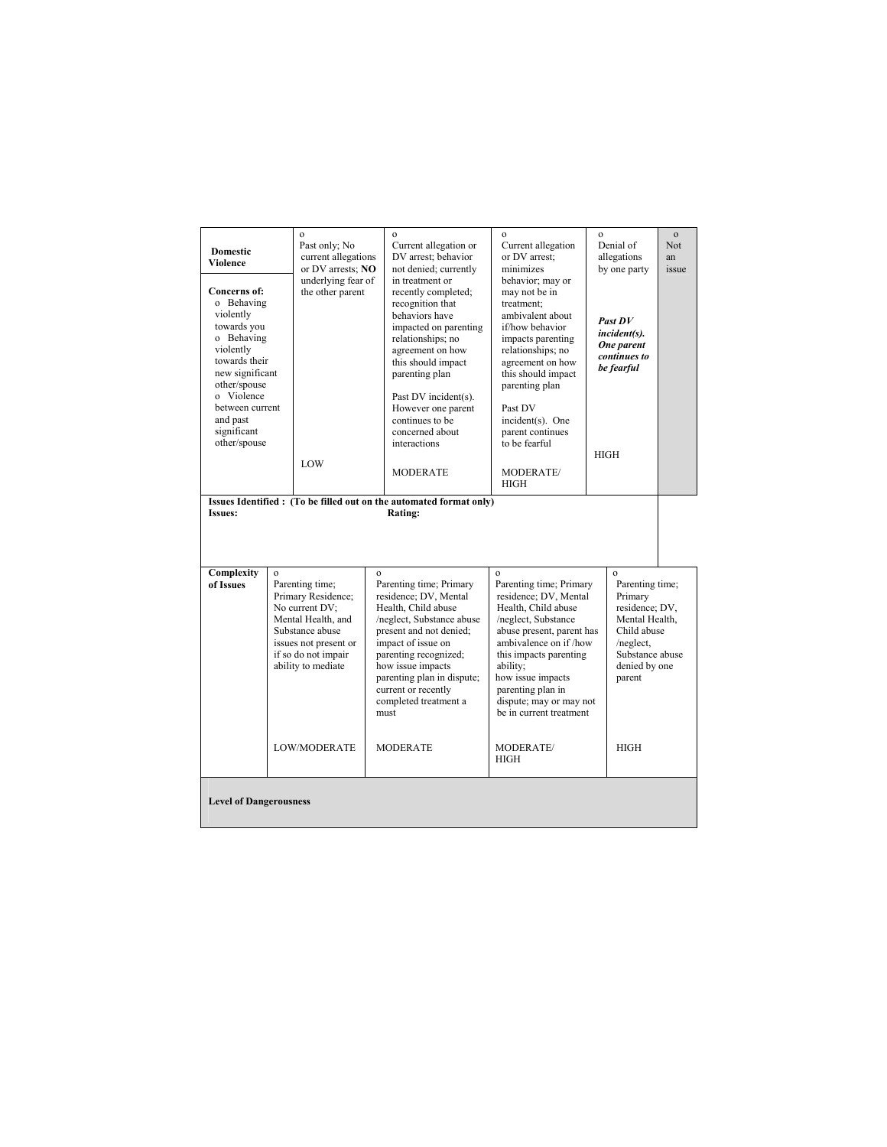| <b>Domestic</b><br><b>Violence</b><br>Concerns of:<br>o Behaving<br>violently<br>towards you<br>o Behaving<br>violently<br>towards their<br>new significant<br>other/spouse<br>o Violence<br>between current<br>and past<br>significant<br>other/spouse<br><b>Issues:</b> |              | $\mathbf{o}$<br>Past only; No<br>current allegations<br>or DV arrests; NO<br>underlying fear of<br>the other parent<br>LOW                                                                    |                                                                                                                                                                                                                                                                                                                              | $\mathbf{o}$<br>Current allegation or<br>DV arrest: behavior<br>not denied; currently<br>in treatment or<br>recently completed;<br>recognition that<br>behaviors have<br>impacted on parenting<br>relationships; no<br>agreement on how<br>this should impact<br>parenting plan<br>Past DV incident(s).<br>However one parent<br>continues to be<br>concerned about<br>interactions<br><b>MODERATE</b><br>Issues Identified: (To be filled out on the automated format only)<br>Rating: | $\mathbf{o}$<br>Current allegation<br>or DV arrest;<br>minimizes<br>behavior; may or<br>may not be in<br>treatment:<br>ambivalent about<br>if/how behavior<br>impacts parenting<br>relationships; no<br>agreement on how<br>this should impact<br>parenting plan<br>Past DV<br>incident(s). One<br>parent continues<br>to be fearful<br>MODERATE/<br><b>HIGH</b> | $\Omega$ | Denial of<br>allegations<br>by one party<br>Past DV<br><i>incident(s).</i><br>One parent<br>continues to<br>be fearful<br><b>HIGH</b>                                   | $\mathbf{o}$<br>Not.<br>an<br>issue |
|---------------------------------------------------------------------------------------------------------------------------------------------------------------------------------------------------------------------------------------------------------------------------|--------------|-----------------------------------------------------------------------------------------------------------------------------------------------------------------------------------------------|------------------------------------------------------------------------------------------------------------------------------------------------------------------------------------------------------------------------------------------------------------------------------------------------------------------------------|-----------------------------------------------------------------------------------------------------------------------------------------------------------------------------------------------------------------------------------------------------------------------------------------------------------------------------------------------------------------------------------------------------------------------------------------------------------------------------------------|------------------------------------------------------------------------------------------------------------------------------------------------------------------------------------------------------------------------------------------------------------------------------------------------------------------------------------------------------------------|----------|-------------------------------------------------------------------------------------------------------------------------------------------------------------------------|-------------------------------------|
| Complexity<br>of Issues                                                                                                                                                                                                                                                   | $\mathbf{o}$ | Parenting time;<br>Primary Residence;<br>No current DV:<br>Mental Health, and<br>Substance abuse<br>issues not present or<br>if so do not impair<br>ability to mediate<br><b>LOW/MODERATE</b> | $\mathbf{o}$<br>Parenting time; Primary<br>residence; DV, Mental<br>Health, Child abuse<br>/neglect, Substance abuse<br>present and not denied;<br>impact of issue on<br>parenting recognized;<br>how issue impacts<br>parenting plan in dispute;<br>current or recently<br>completed treatment a<br>must<br><b>MODERATE</b> |                                                                                                                                                                                                                                                                                                                                                                                                                                                                                         | $\mathbf{o}$<br>Parenting time; Primary<br>residence; DV, Mental<br>Health, Child abuse<br>/neglect, Substance<br>abuse present, parent has<br>ambivalence on if /how<br>this impacts parenting<br>ability;<br>how issue impacts<br>parenting plan in<br>dispute; may or may not<br>be in current treatment.<br>MODERATE/<br><b>HIGH</b>                         |          | $\mathbf{o}$<br>Parenting time;<br>Primary<br>residence; DV,<br>Mental Health.<br>Child abuse<br>/neglect.<br>Substance abuse<br>denied by one<br>parent<br><b>HIGH</b> |                                     |
| <b>Level of Dangerousness</b>                                                                                                                                                                                                                                             |              |                                                                                                                                                                                               |                                                                                                                                                                                                                                                                                                                              |                                                                                                                                                                                                                                                                                                                                                                                                                                                                                         |                                                                                                                                                                                                                                                                                                                                                                  |          |                                                                                                                                                                         |                                     |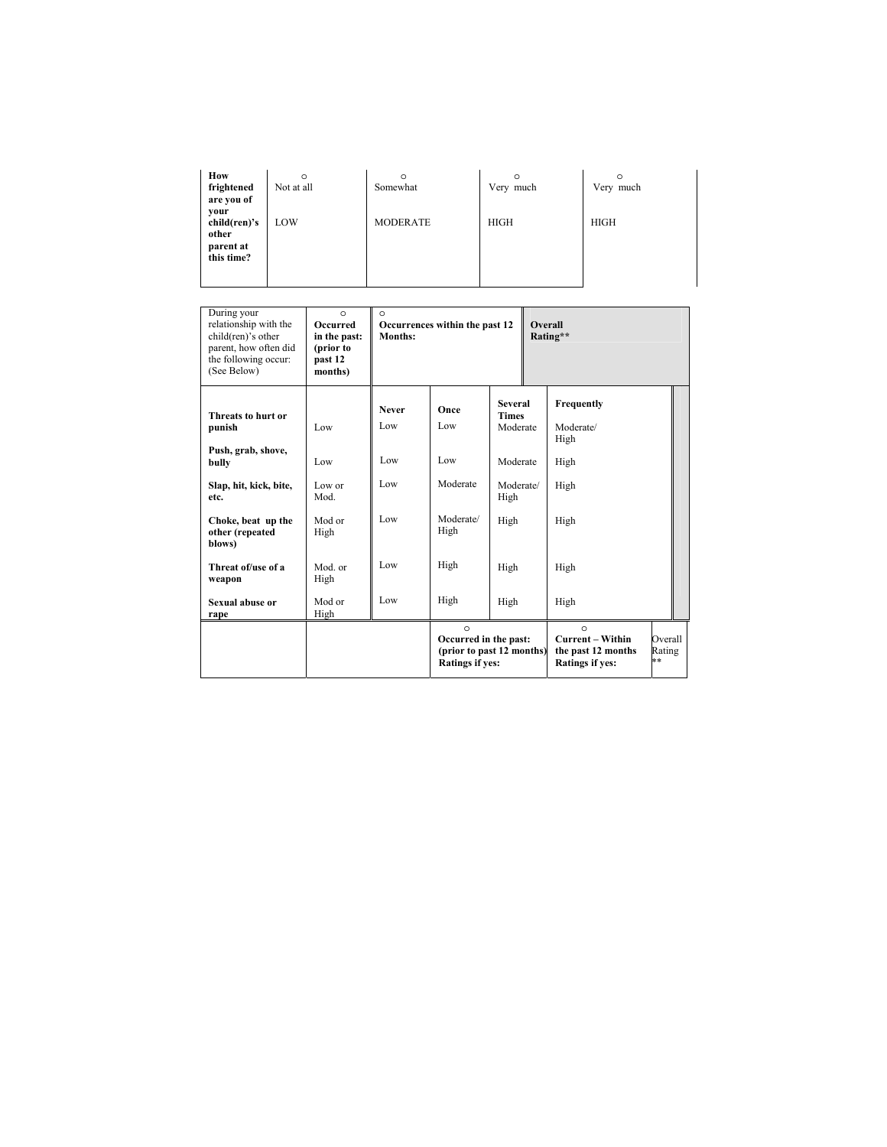| How<br>frightened<br>are you of            | $\circ$<br>Not at all | O<br>Somewhat   | O<br>Very much | $\circ$<br>Very much |
|--------------------------------------------|-----------------------|-----------------|----------------|----------------------|
| your<br>child(ren)'s<br>other<br>parent at | LOW                   | <b>MODERATE</b> | <b>HIGH</b>    | <b>HIGH</b>          |
| this time?                                 |                       |                 |                |                      |

| During your<br>relationship with the<br>child(ren)'s other<br>parent, how often did<br>the following occur:<br>(See Below) | $\circ$<br><b>Occurred</b><br>in the past:<br>(prior to<br>past 12<br>months) | $\Omega$<br>Months: | Occurrences within the past 12                                                          |                                            | Overall | Rating**                                                                            |                         |
|----------------------------------------------------------------------------------------------------------------------------|-------------------------------------------------------------------------------|---------------------|-----------------------------------------------------------------------------------------|--------------------------------------------|---------|-------------------------------------------------------------------------------------|-------------------------|
| Threats to hurt or<br>punish                                                                                               | Low                                                                           | <b>Never</b><br>Low | Once<br>Low                                                                             | <b>Several</b><br><b>Times</b><br>Moderate |         | Frequently<br>Moderate/<br>High                                                     |                         |
| Push, grab, shove,<br>bully                                                                                                | Low                                                                           | Low                 | Low                                                                                     | Moderate                                   |         | High                                                                                |                         |
| Slap, hit, kick, bite,<br>etc.                                                                                             | Low or<br>Mod.                                                                | Low                 | Moderate                                                                                | Moderate/<br>High                          |         | High                                                                                |                         |
| Choke, beat up the<br>other (repeated<br>blows)                                                                            | Mod or<br>High                                                                | Low                 | Moderate/<br>High                                                                       | High                                       |         | High                                                                                |                         |
| Threat of/use of a<br>weapon                                                                                               | Mod. or<br>High                                                               | Low                 | High                                                                                    | High                                       |         | High                                                                                |                         |
| Sexual abuse or<br>rape                                                                                                    | Mod or<br>High                                                                | Low                 | High                                                                                    | High                                       |         | High                                                                                |                         |
|                                                                                                                            |                                                                               |                     | $\circ$<br>Occurred in the past:<br>(prior to past 12 months)<br><b>Ratings if yes:</b> |                                            |         | $\Omega$<br><b>Current – Within</b><br>the past 12 months<br><b>Ratings if yes:</b> | Overall<br>Rating<br>** |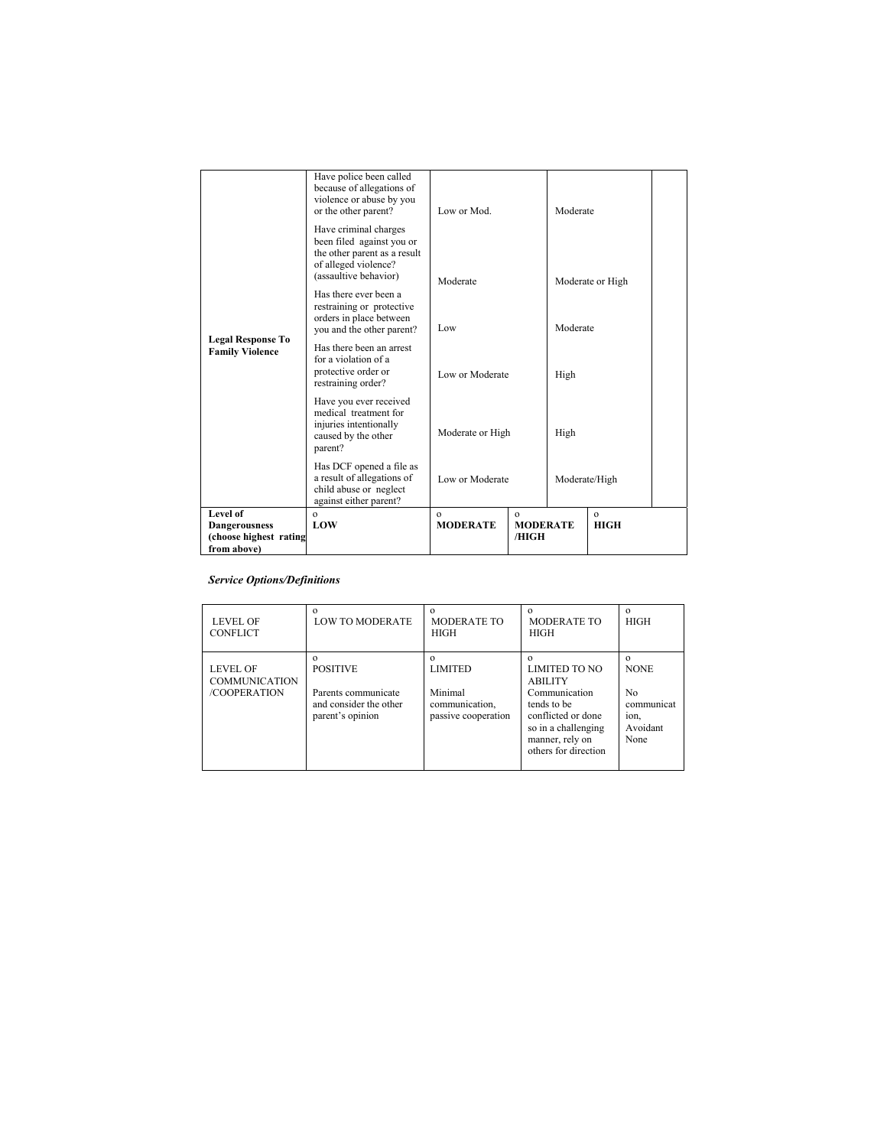| (choose highest rating<br>from above)              |                                                                                                                                     |                             | /HIGH                       |               |                             |  |  |
|----------------------------------------------------|-------------------------------------------------------------------------------------------------------------------------------------|-----------------------------|-----------------------------|---------------|-----------------------------|--|--|
| Level of<br><b>Dangerousness</b>                   | $\Omega$<br>LOW                                                                                                                     | $\Omega$<br><b>MODERATE</b> | $\Omega$<br><b>MODERATE</b> |               | $\mathbf{o}$<br><b>HIGH</b> |  |  |
|                                                    | Has DCF opened a file as<br>a result of allegations of<br>child abuse or neglect<br>against either parent?                          | Low or Moderate             |                             | Moderate/High |                             |  |  |
|                                                    | Have you ever received<br>medical treatment for<br>injuries intentionally<br>caused by the other<br>parent?                         | Moderate or High            |                             | High          |                             |  |  |
| <b>Legal Response To</b><br><b>Family Violence</b> | Has there been an arrest<br>for a violation of a<br>protective order or<br>restraining order?                                       | Low or Moderate             |                             | High          |                             |  |  |
|                                                    | Has there ever been a<br>restraining or protective<br>orders in place between<br>you and the other parent?                          | Low                         |                             | Moderate      |                             |  |  |
|                                                    | Have criminal charges<br>been filed against you or<br>the other parent as a result<br>of alleged violence?<br>(assaultive behavior) | Moderate                    |                             |               | Moderate or High            |  |  |
|                                                    | Have police been called<br>because of allegations of<br>violence or abuse by you<br>or the other parent?                            | Low or Mod.                 |                             | Moderate      |                             |  |  |

## *Service Options/Definitions*

| <b>LEVEL OF</b><br><b>CONFLICT</b>                      | $\Omega$<br><b>LOW TO MODERATE</b>                                                   | $\Omega$<br><b>MODERATE TO</b><br><b>HIGH</b>                                  | <b>MODERATE TO</b><br><b>HIGH</b>                                                                                                                              | $\Omega$<br><b>HIGH</b>                                                 |
|---------------------------------------------------------|--------------------------------------------------------------------------------------|--------------------------------------------------------------------------------|----------------------------------------------------------------------------------------------------------------------------------------------------------------|-------------------------------------------------------------------------|
| <b>LEVEL OF</b><br><b>COMMUNICATION</b><br>/COOPERATION | <b>POSITIVE</b><br>Parents communicate<br>and consider the other<br>parent's opinion | $\Omega$<br><b>LIMITED</b><br>Minimal<br>communication,<br>passive cooperation | <b>LIMITED TO NO</b><br><b>ABILITY</b><br>Communication<br>tends to be<br>conflicted or done<br>so in a challenging<br>manner, rely on<br>others for direction | $\Omega$<br><b>NONE</b><br>No<br>communicat<br>ion,<br>Avoidant<br>None |